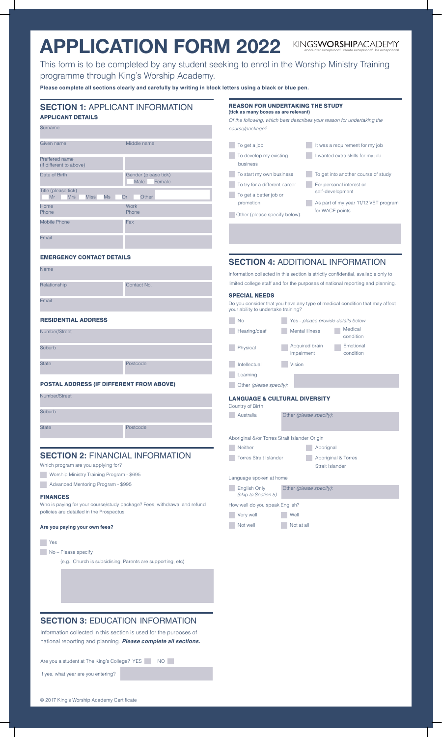# **APPLICATION FORM 2022** encounter *exceptional* create *exceptional* be *exceptional*

This form is to be completed by any student seeking to enrol in the Worship Ministry Training programme through King's Worship Academy.

**Please complete all sections clearly and carefully by writing in block letters using a black or blue pen.**

| <b>SECTION 1: APPLICANT INFORMATION</b><br><b>APPLICANT DETAILS</b>      | REASON FOR UNDERTAKING THE STUDY<br>(tick as many boxes as are relevant)<br>Of the following, which best describes your reason for undertaking the |                                                                                                     |            |                                                                                   |
|--------------------------------------------------------------------------|----------------------------------------------------------------------------------------------------------------------------------------------------|-----------------------------------------------------------------------------------------------------|------------|-----------------------------------------------------------------------------------|
| Surname                                                                  |                                                                                                                                                    | course/package?                                                                                     |            |                                                                                   |
| Given name                                                               | Middle name                                                                                                                                        | To get a job                                                                                        |            | It was a requirement for my job                                                   |
| Preffered name<br>(if different to above)                                |                                                                                                                                                    | To develop my existing<br>business                                                                  |            | wanted extra skills for my job                                                    |
| Date of Birth                                                            | Gender (please tick)                                                                                                                               | To start my own business                                                                            |            | To get into another course of study                                               |
| Title (please tick)                                                      | Female<br>Male                                                                                                                                     | To try for a different career                                                                       |            | For personal interest or<br>self-development                                      |
| Mr<br><b>Mrs</b><br><b>Miss</b>                                          | <b>Ms</b><br>Other<br>Dr                                                                                                                           | To get a better job or<br>promotion                                                                 |            | As part of my year 11/12 VET program                                              |
| Home<br>Phone                                                            | Work<br>Phone                                                                                                                                      | Other (please specify below):                                                                       |            | for WACE points                                                                   |
| <b>Mobile Phone</b>                                                      | Fax                                                                                                                                                |                                                                                                     |            |                                                                                   |
| Email                                                                    |                                                                                                                                                    |                                                                                                     |            |                                                                                   |
| <b>EMERGENCY CONTACT DETAILS</b>                                         |                                                                                                                                                    |                                                                                                     |            | <b>SECTION 4: ADDITIONAL INFORMATION</b>                                          |
| Name                                                                     |                                                                                                                                                    |                                                                                                     |            | Information collected in this section is strictly confidential, available only to |
| Relationship                                                             | Contact No.                                                                                                                                        |                                                                                                     |            | limited college staff and for the purposes of national reporting and planning.    |
| Email                                                                    |                                                                                                                                                    | <b>SPECIAL NEEDS</b><br>Do you consider that you have any type of medical condition that may affect |            |                                                                                   |
| <b>RESIDENTIAL ADDRESS</b>                                               |                                                                                                                                                    | your ability to undertake training?                                                                 |            |                                                                                   |
| Number/Street                                                            |                                                                                                                                                    | No<br>Hearing/deaf                                                                                  |            | Yes - please provide details below<br>Medical<br>Mental illness<br>condition      |
| Suburb                                                                   |                                                                                                                                                    | Physical                                                                                            | impairment | Acquired brain<br>Emotional<br>condition                                          |
| State                                                                    | Postcode                                                                                                                                           | Intellectual                                                                                        | Vision     |                                                                                   |
|                                                                          |                                                                                                                                                    | Learning                                                                                            |            |                                                                                   |
|                                                                          | <b>POSTAL ADDRESS (IF DIFFERENT FROM ABOVE)</b>                                                                                                    | Other (please specify):                                                                             |            |                                                                                   |
| Number/Street                                                            |                                                                                                                                                    | <b>LANGUAGE &amp; CULTURAL DIVERSITY</b><br>Country of Birth                                        |            |                                                                                   |
| Suburb                                                                   |                                                                                                                                                    | Australia                                                                                           |            | Other (please specify):                                                           |
| State                                                                    | Postcode                                                                                                                                           |                                                                                                     |            |                                                                                   |
|                                                                          |                                                                                                                                                    | Aboriginal &/or Torres Strait Islander Origin                                                       |            |                                                                                   |
|                                                                          | <b>SECTION 2: FINANCIAL INFORMATION</b>                                                                                                            | Neither                                                                                             |            | Aborignal                                                                         |
| Which program are you applying for?                                      |                                                                                                                                                    | <b>Torres Strait Islander</b>                                                                       |            | Aboriginal & Torres<br>Strait Islander                                            |
| Worship Ministry Training Program - \$695                                |                                                                                                                                                    | Language spoken at home                                                                             |            |                                                                                   |
| Advanced Mentoring Program - \$995                                       |                                                                                                                                                    | English Only                                                                                        |            | Other (please specify):                                                           |
| <b>FINANCES</b>                                                          |                                                                                                                                                    | (skip to Section 5)                                                                                 |            |                                                                                   |
| Who is paying for your course/study package? Fees, withdrawal and refund |                                                                                                                                                    | How well do you speak English?                                                                      |            |                                                                                   |
| policies are detailed in the Prospectus.                                 |                                                                                                                                                    | Very well                                                                                           | Well       |                                                                                   |
| Are you paying your own fees?                                            |                                                                                                                                                    | Not well                                                                                            | Not at all |                                                                                   |
| Yes                                                                      |                                                                                                                                                    |                                                                                                     |            |                                                                                   |
| No - Please specify                                                      |                                                                                                                                                    |                                                                                                     |            |                                                                                   |
|                                                                          | (e.g., Church is subsidising, Parents are supporting, etc)                                                                                         |                                                                                                     |            |                                                                                   |
|                                                                          |                                                                                                                                                    |                                                                                                     |            |                                                                                   |
|                                                                          |                                                                                                                                                    |                                                                                                     |            |                                                                                   |
|                                                                          |                                                                                                                                                    |                                                                                                     |            |                                                                                   |
|                                                                          |                                                                                                                                                    |                                                                                                     |            |                                                                                   |
|                                                                          | <b>SECTION 3: EDUCATION INFORMATION</b>                                                                                                            |                                                                                                     |            |                                                                                   |
|                                                                          | Information collected in this section is used for the purposes of                                                                                  |                                                                                                     |            |                                                                                   |
|                                                                          |                                                                                                                                                    |                                                                                                     |            |                                                                                   |

national reporting and planning. *Please complete all sections.*

Are you a student at The King's College? YES NO

If yes, what year are you entering?